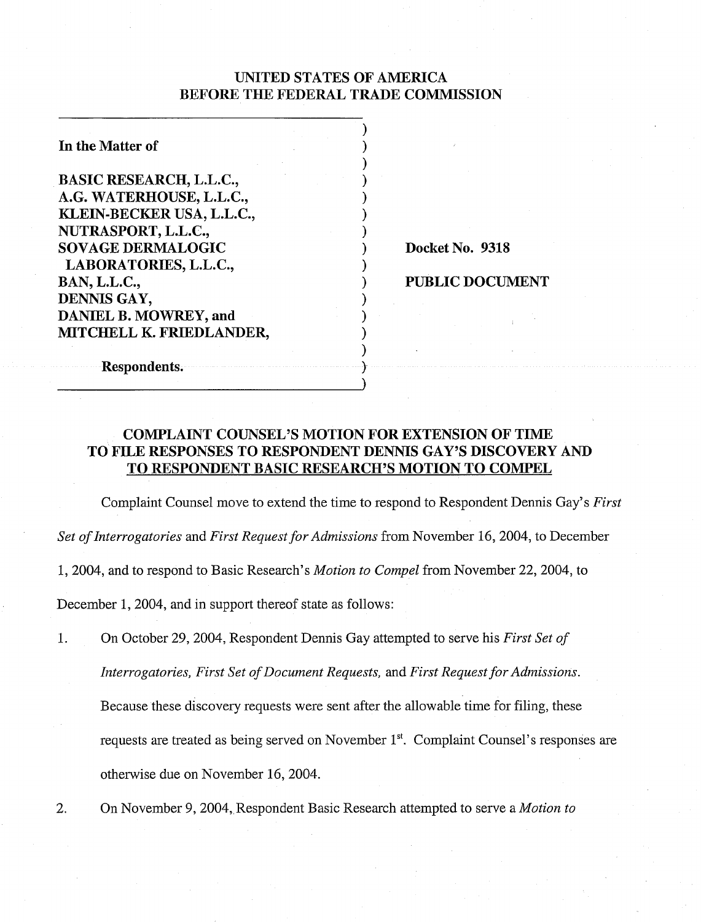# UNITED STATES OF AMERICA BEFORE THE FEDERAL TRADE COMMISSION

 $)$  $)$  $)$  .  $)$  $)$  $)$  $)$ 

 $)$ 

 $)$  $)$  $)$  $)$  $)$  .

| In the Matter of                                                                                                                           |  |
|--------------------------------------------------------------------------------------------------------------------------------------------|--|
| <b>BASIC RESEARCH, L.L.C.,</b><br>A.G. WATERHOUSE, L.L.C.,<br>KLEIN-BECKER USA, L.L.C.,<br>NUTRASPORT, L.L.C.,<br><b>SOVAGE DERMALOGIC</b> |  |
| LABORATORIES, L.L.C.,<br><b>BAN, L.L.C.,</b><br>DENNIS GAY,<br>DANIEL B. MOWREY, and<br>MITCHELL K. FRIEDLANDER,                           |  |

Docket No. 9318

PUBLIC DOCUMENT

Respondents.

# COMPLAINT COUNSEL'S MOTION FOR EXTENSION OF TIME TO FILE RESPONSES TO RESPONDENT DENNIS GAY'S DISCOVERY AND TO RESPONDENT BASIC RESEARCH'S MOTION TO COMPEL

Complaint Counsel move to extend the time to respond to Respondent Dennis Gay's *First Set of Interrogatories* and *First Request for Admissions* from November 16, 2004, to December 1,2004, and to respond to Basic Research's *Motion to Compel* from November 22,2004, to December 1, 2004, and in support thereof state as follows:

- 1. On October 29,2004, Respondent Dennis Gay attempted to serve his *First Set of Interrogatories, First Set of Document Requests, and First Request for Admissions.* Because these discovery requests were sent after the allowable time for filing, these requests are treated as being served on November 1". Complaint Counsel's responses are otherwise due on November 16,2004.
- 2. On November 9,2004,,Respondent Basic Research attempted to serve a *Motion to*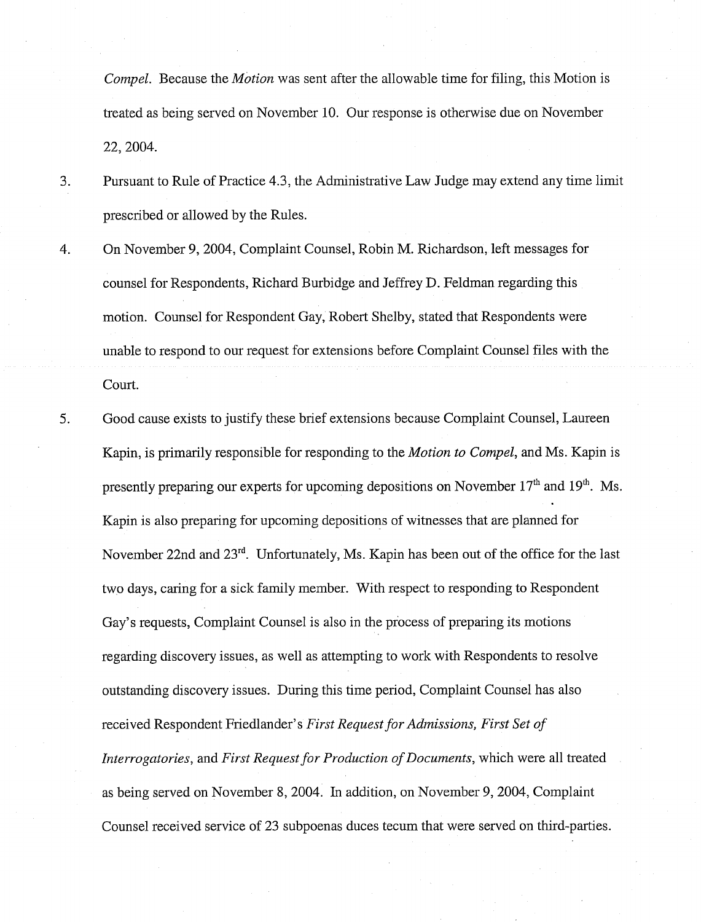Compel. Because the *Motion* was sent after the allowable time for filing, this Motion is treated as being served on November 10. Our response is otherwise due on November 22,2004.

- 3. Pursuant to Rule of Practice 4.3, the Administrative Law Judge may extend any time limit prescribed or allowed by the Rules.
- 4. On November 9,2004, Complaint Counsel, Robin M. Richardson, left messages for counsel for Respondents, Richard Burbidge and Jeffrey D. Feldman regarding this motion. Counsel for Respondent Gay, Robert Shelby, stated that Respondents were unable to respond to our request for extensions before Complaint Counsel files with the Court.
- 5. Good cause exists to justify these brief extensions because Complaint Counsel, Laureen Kapin, is primarily responsible for responding to the Motion to Compel, and Ms. Kapin is presently preparing our experts for upcoming depositions on November  $17<sup>th</sup>$  and  $19<sup>th</sup>$ . Ms. Kapin is also preparing for upcoming depositions of witnesses that are planned for November 22nd and 23'd. Unfortunately, Ms. Kapin has been out of the office for the last two days, caring for a sick family member. With respect to responding to Respondent Gay's requests, Complaint Counsel is also in the process of preparing its motions regarding discovery issues, as well as attempting to work with Respondents to resolve outstanding discovery issues. During this time period, Complaint Counsel has also received Respondent Friedlander's First Request for Admissions, First Set of Interrogatories, and First Request for Production of Documents, which were all treated as being served on November 8, 2004. In addition, on November 9,2004, Complaint Counsel received service of 23 subpoenas duces tecum that were served on third-parties.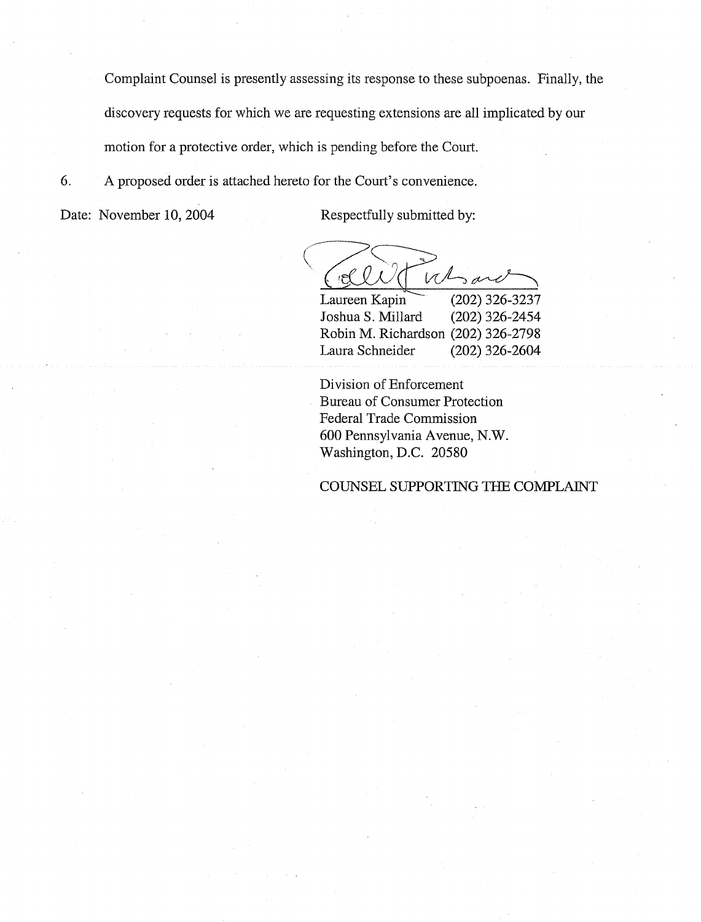Complaint Counsel is presently assessing its response to these subpoenas. Finally, the discovery requests for which we are requesting extensions are all implicated by our motion for a protective order, which is pending before the Court.

6. A proposed order is attached hereto for the Court's convenience.

Date: November 10, 2004 Respectfully submitted by:

 $V$ ැල්  $5a$ 

Laureen Kapin  $(202)$  326-3237 Joshua S. Millard (202) 326-2454 Robin M. Richardson (202) 326-2798 Laura Schneider (202) 326-2604

Division of Enforcement Bureau of Consumer Protection Federal Trade Commission 600 Pennsylvania Avenue, N.W. Washington, D.C. 20580

COUNSEL SUPPORTING THE COMPLAINT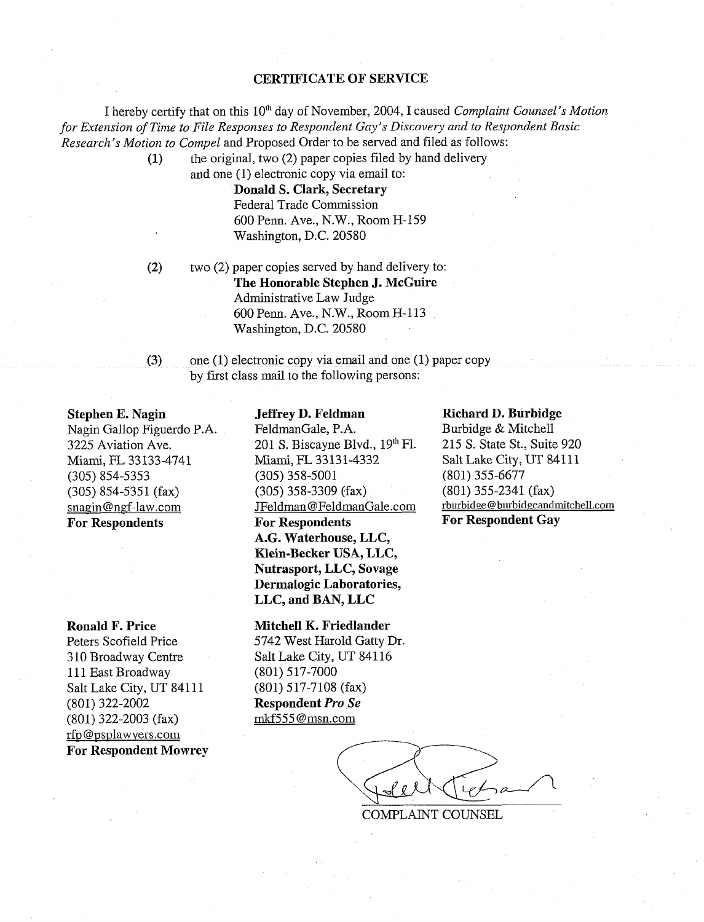## **CERTIFICATE OF SERVICE**

I hereby certify that on this 10<sup>th</sup> day of November, 2004, I caused *Complaint Counsel's Motion for Extension of Time to File Responses to Respondent Gay's Discovery and to Respondent Basic Research's Motion to Conzpel* and Proposed Order to be served and filed as follows:

> **(1)** the original, two (2) paper copies filed by hand delivery and one (1) electronic copy via email to:

> > **Donald S. Clark, Secretary**  Federal Trade Commission 600 Penn. Ave., N.W., Room H-159 Washington, D.C. 20580

**(2)** two (2) paper copies served by hand delivery to: **The Honorable Stephen J. McGuire**  Administrative Law Judge 600 Penn. Ave., N.W., Room H-113 Washington, D.C. 20580

**(3)** one (1) electronic copy via email and one (1) paper copy by first class mail to the following persons:

#### **Stephen E. Nagin**

Nagin Gallop Figuerdo P.A. 3225 Aviation Ave. Miami, FL 33133-4741 (305) 854-5353 (305) 854-5351 (fax) snagin@ngf-law.com **For Respondents** 

#### **Ronald F. Price**

Peters Scofield Price 3 10 Broadway Centre 111 East Broadway Salt Lake City, UT 84111 (801) 322-2002 (801) 322-2003 (fax) rfp@psplawvers.com **For Respondent Mowrey** 

#### **Jeffrey D. Feldman**

FeldmanGale, P.A. 201 S. Biscayne Blvd.,  $19<sup>th</sup>$  Fl. Miami, FL 33131-4332 (305) 358-5001 (305) 358-3309 (fax) JFeldman @FeldmanGale.com **For Respondents A.G. Waterhouse, LLC, Klein-Becker USA, LLC, Nutrasport, LLC, Sovage Dermalogic Laboratories, LLC, and BAN, LLC** 

### **Mitchell K. Friedlander**

5742 West Harold Gatty Dr. Salt Lake City, UT 841 16 (801) 5 17-7000 (801) 517-7108 (fax) **Respondent** *Pro Se*  mkf555 @msn.com

#### **Richard D. Burbidge**

Burbidge & Mitchell 215 S. State St., Suite 920 Salt Lake City, UT 84111 (801) 355-6677 (801) 355-2341 (fax) rburbide @ burbidgeandmitchell.com **For Respondent Gay** 

COMPLAINT COUNSEL